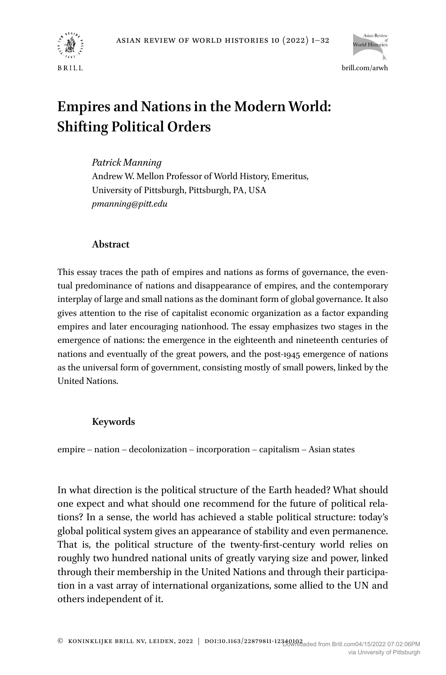



# **Empires and Nations in the Modern World: Shifting Political Orders**

*Patrick Manning* Andrew W. Mellon Professor of World History, Emeritus, University of Pittsburgh, Pittsburgh, PA, USA *[pmanning@pitt.edu](mailto:pmanning@pitt.edu)*

## **Abstract**

This essay traces the path of empires and nations as forms of governance, the eventual predominance of nations and disappearance of empires, and the contemporary interplay of large and small nations as the dominant form of global governance. It also gives attention to the rise of capitalist economic organization as a factor expanding empires and later encouraging nationhood. The essay emphasizes two stages in the emergence of nations: the emergence in the eighteenth and nineteenth centuries of nations and eventually of the great powers, and the post-1945 emergence of nations as the universal form of government, consisting mostly of small powers, linked by the United Nations.

# **Keywords**

empire – nation – decolonization – incorporation – capitalism – Asian states

In what direction is the political structure of the Earth headed? What should one expect and what should one recommend for the future of political relations? In a sense, the world has achieved a stable political structure: today's global political system gives an appearance of stability and even permanence. That is, the political structure of the twenty-first-century world relies on roughly two hundred national units of greatly varying size and power, linked through their membership in the United Nations and through their participation in a vast array of international organizations, some allied to the UN and others independent of it.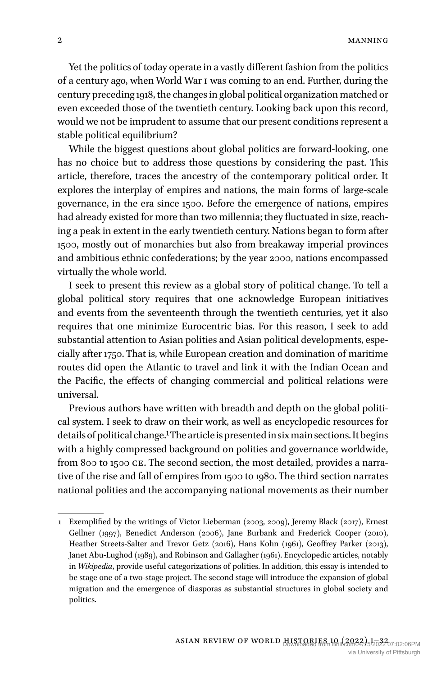Yet the politics of today operate in a vastly different fashion from the politics of a century ago, when World War I was coming to an end. Further, during the century preceding 1918, the changes in global political organization matched or even exceeded those of the twentieth century. Looking back upon this record, would we not be imprudent to assume that our present conditions represent a stable political equilibrium?

While the biggest questions about global politics are forward-looking, one has no choice but to address those questions by considering the past. This article, therefore, traces the ancestry of the contemporary political order. It explores the interplay of empires and nations, the main forms of large-scale governance, in the era since 1500. Before the emergence of nations, empires had already existed for more than two millennia; they fluctuated in size, reaching a peak in extent in the early twentieth century. Nations began to form after 1500, mostly out of monarchies but also from breakaway imperial provinces and ambitious ethnic confederations; by the year 2000, nations encompassed virtually the whole world.

I seek to present this review as a global story of political change. To tell a global political story requires that one acknowledge European initiatives and events from the seventeenth through the twentieth centuries, yet it also requires that one minimize Eurocentric bias. For this reason, I seek to add substantial attention to Asian polities and Asian political developments, especially after 1750. That is, while European creation and domination of maritime routes did open the Atlantic to travel and link it with the Indian Ocean and the Pacific, the effects of changing commercial and political relations were universal.

Previous authors have written with breadth and depth on the global political system. I seek to draw on their work, as well as encyclopedic resources for details of political change.1 The article is presented in six main sections. It begins with a highly compressed background on polities and governance worldwide, from 800 to 1500 CE. The second section, the most detailed, provides a narrative of the rise and fall of empires from 1500 to 1980. The third section narrates national polities and the accompanying national movements as their number

<sup>1</sup> Exemplified by the writings of Victor Lieberman (2003, 2009), Jeremy Black (2017), Ernest Gellner (1997), Benedict Anderson (2006), Jane Burbank and Frederick Cooper (2010), Heather Streets-Salter and Trevor Getz (2016), Hans Kohn (1961), Geoffrey Parker (2013), Janet Abu-Lughod (1989), and Robinson and Gallagher (1961). Encyclopedic articles, notably in *Wikipedia*, provide useful categorizations of polities. In addition, this essay is intended to be stage one of a two-stage project. The second stage will introduce the expansion of global migration and the emergence of diasporas as substantial structures in global society and politics.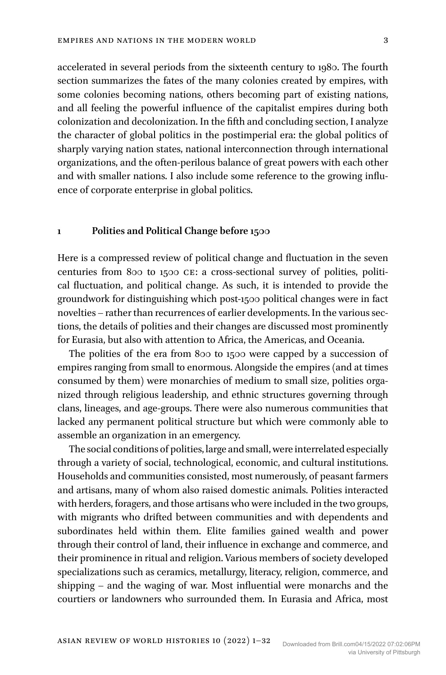accelerated in several periods from the sixteenth century to 1980. The fourth section summarizes the fates of the many colonies created by empires, with some colonies becoming nations, others becoming part of existing nations, and all feeling the powerful influence of the capitalist empires during both colonization and decolonization. In the fifth and concluding section, I analyze the character of global politics in the postimperial era: the global politics of sharply varying nation states, national interconnection through international organizations, and the often-perilous balance of great powers with each other and with smaller nations. I also include some reference to the growing influence of corporate enterprise in global politics.

#### **1 Polities and Political Change before 1500**

Here is a compressed review of political change and fluctuation in the seven centuries from 800 to 1500 CE: a cross-sectional survey of polities, political fluctuation, and political change. As such, it is intended to provide the groundwork for distinguishing which post-1500 political changes were in fact novelties – rather than recurrences of earlier developments. In the various sections, the details of polities and their changes are discussed most prominently for Eurasia, but also with attention to Africa, the Americas, and Oceania.

The polities of the era from 800 to 1500 were capped by a succession of empires ranging from small to enormous. Alongside the empires (and at times consumed by them) were monarchies of medium to small size, polities organized through religious leadership, and ethnic structures governing through clans, lineages, and age-groups. There were also numerous communities that lacked any permanent political structure but which were commonly able to assemble an organization in an emergency.

The social conditions of polities, large and small, were interrelated especially through a variety of social, technological, economic, and cultural institutions. Households and communities consisted, most numerously, of peasant farmers and artisans, many of whom also raised domestic animals. Polities interacted with herders, foragers, and those artisans who were included in the two groups, with migrants who drifted between communities and with dependents and subordinates held within them. Elite families gained wealth and power through their control of land, their influence in exchange and commerce, and their prominence in ritual and religion. Various members of society developed specializations such as ceramics, metallurgy, literacy, religion, commerce, and shipping – and the waging of war. Most influential were monarchs and the courtiers or landowners who surrounded them. In Eurasia and Africa, most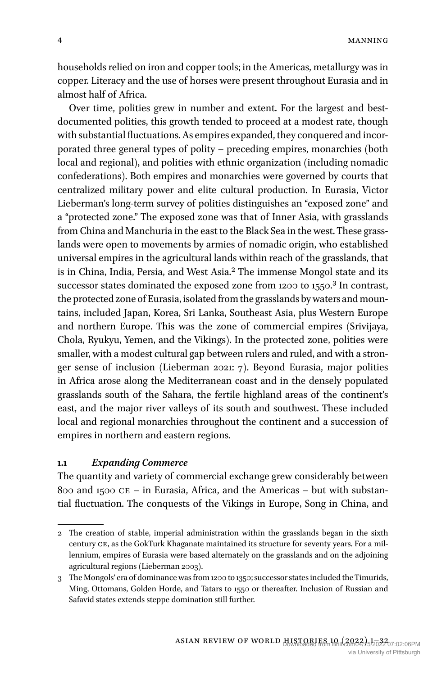4 MANNING

households relied on iron and copper tools; in the Americas, metallurgy was in copper. Literacy and the use of horses were present throughout Eurasia and in almost half of Africa.

Over time, polities grew in number and extent. For the largest and bestdocumented polities, this growth tended to proceed at a modest rate, though with substantial fluctuations. As empires expanded, they conquered and incorporated three general types of polity – preceding empires, monarchies (both local and regional), and polities with ethnic organization (including nomadic confederations). Both empires and monarchies were governed by courts that centralized military power and elite cultural production. In Eurasia, Victor Lieberman's long-term survey of polities distinguishes an "exposed zone" and a "protected zone." The exposed zone was that of Inner Asia, with grasslands from China and Manchuria in the east to the Black Sea in the west. These grasslands were open to movements by armies of nomadic origin, who established universal empires in the agricultural lands within reach of the grasslands, that is in China, India, Persia, and West Asia.2 The immense Mongol state and its successor states dominated the exposed zone from 1200 to 1550.<sup>3</sup> In contrast, the protected zone of Eurasia, isolated from the grasslands by waters and mountains, included Japan, Korea, Sri Lanka, Southeast Asia, plus Western Europe and northern Europe. This was the zone of commercial empires (Srivijaya, Chola, Ryukyu, Yemen, and the Vikings). In the protected zone, polities were smaller, with a modest cultural gap between rulers and ruled, and with a stronger sense of inclusion (Lieberman 2021: 7). Beyond Eurasia, major polities in Africa arose along the Mediterranean coast and in the densely populated grasslands south of the Sahara, the fertile highland areas of the continent's east, and the major river valleys of its south and southwest. These included local and regional monarchies throughout the continent and a succession of empires in northern and eastern regions.

## **1.1** *Expanding Commerce*

The quantity and variety of commercial exchange grew considerably between 800 and 1500  $CE - in$  Eurasia, Africa, and the Americas – but with substantial fluctuation. The conquests of the Vikings in Europe, Song in China, and

<sup>2</sup> The creation of stable, imperial administration within the grasslands began in the sixth century CE, as the GokTurk Khaganate maintained its structure for seventy years. For a millennium, empires of Eurasia were based alternately on the grasslands and on the adjoining agricultural regions (Lieberman 2003).

<sup>3</sup> The Mongols' era of dominance was from 1200 to 1350; successor states included the Timurids, Ming, Ottomans, Golden Horde, and Tatars to 1550 or thereafter. Inclusion of Russian and Safavid states extends steppe domination still further.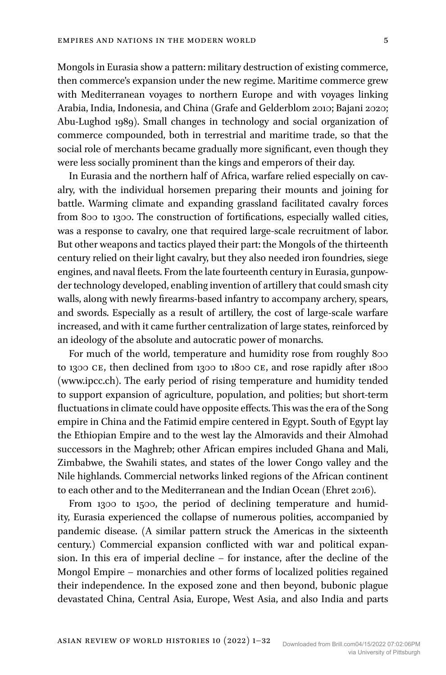Mongols in Eurasia show a pattern: military destruction of existing commerce, then commerce's expansion under the new regime. Maritime commerce grew with Mediterranean voyages to northern Europe and with voyages linking Arabia, India, Indonesia, and China (Grafe and Gelderblom 2010; Bajani 2020; Abu-Lughod 1989). Small changes in technology and social organization of commerce compounded, both in terrestrial and maritime trade, so that the social role of merchants became gradually more significant, even though they were less socially prominent than the kings and emperors of their day.

In Eurasia and the northern half of Africa, warfare relied especially on cavalry, with the individual horsemen preparing their mounts and joining for battle. Warming climate and expanding grassland facilitated cavalry forces from 800 to 1300. The construction of fortifications, especially walled cities, was a response to cavalry, one that required large-scale recruitment of labor. But other weapons and tactics played their part: the Mongols of the thirteenth century relied on their light cavalry, but they also needed iron foundries, siege engines, and naval fleets. From the late fourteenth century in Eurasia, gunpowder technology developed, enabling invention of artillery that could smash city walls, along with newly firearms-based infantry to accompany archery, spears, and swords. Especially as a result of artillery, the cost of large-scale warfare increased, and with it came further centralization of large states, reinforced by an ideology of the absolute and autocratic power of monarchs.

For much of the world, temperature and humidity rose from roughly 800 to 1300 CE, then declined from 1300 to 1800 CE, and rose rapidly after 1800 [\(www.ipcc.ch\)](http://www.ipcc.ch). The early period of rising temperature and humidity tended to support expansion of agriculture, population, and polities; but short-term fluctuations in climate could have opposite effects. This was the era of the Song empire in China and the Fatimid empire centered in Egypt. South of Egypt lay the Ethiopian Empire and to the west lay the Almoravids and their Almohad successors in the Maghreb; other African empires included Ghana and Mali, Zimbabwe, the Swahili states, and states of the lower Congo valley and the Nile highlands. Commercial networks linked regions of the African continent to each other and to the Mediterranean and the Indian Ocean (Ehret 2016).

From 1300 to 1500, the period of declining temperature and humidity, Eurasia experienced the collapse of numerous polities, accompanied by pandemic disease. (A similar pattern struck the Americas in the sixteenth century.) Commercial expansion conflicted with war and political expansion. In this era of imperial decline – for instance, after the decline of the Mongol Empire – monarchies and other forms of localized polities regained their independence. In the exposed zone and then beyond, bubonic plague devastated China, Central Asia, Europe, West Asia, and also India and parts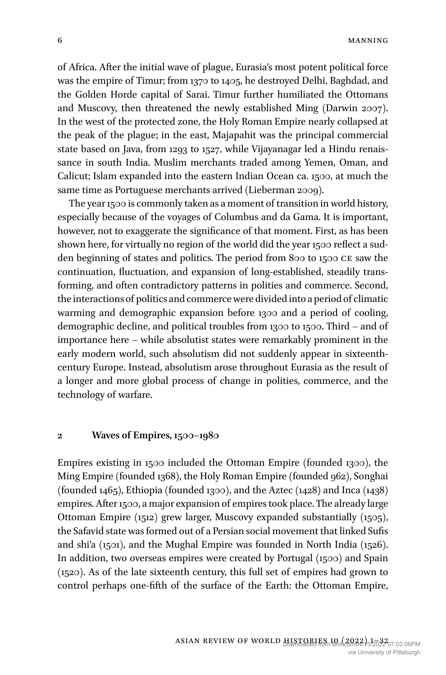of Africa. After the initial wave of plague, Eurasia's most potent political force was the empire of Timur; from 1370 to 1405, he destroyed Delhi, Baghdad, and the Golden Horde capital of Sarai. Timur further humiliated the Ottomans and Muscovy, then threatened the newly established Ming (Darwin 2007). In the west of the protected zone, the Holy Roman Empire nearly collapsed at the peak of the plague; in the east, Majapahit was the principal commercial state based on Java, from 1293 to 1527, while Vijayanagar led a Hindu renaissance in south India. Muslim merchants traded among Yemen, Oman, and Calicut; Islam expanded into the eastern Indian Ocean ca. 1500, at much the same time as Portuguese merchants arrived (Lieberman 2009).

The year 1500 is commonly taken as a moment of transition in world history, especially because of the voyages of Columbus and da Gama. It is important, however, not to exaggerate the significance of that moment. First, as has been shown here, for virtually no region of the world did the year 1500 reflect a sudden beginning of states and politics. The period from 800 to 1500 CE saw the continuation, fluctuation, and expansion of long-established, steadily transforming, and often contradictory patterns in polities and commerce. Second, the interactions of politics and commerce were divided into a period of climatic warming and demographic expansion before 1300 and a period of cooling, demographic decline, and political troubles from 1300 to 1500. Third – and of importance here – while absolutist states were remarkably prominent in the early modern world, such absolutism did not suddenly appear in sixteenthcentury Europe. Instead, absolutism arose throughout Eurasia as the result of a longer and more global process of change in polities, commerce, and the technology of warfare.

#### **2 Waves of Empires, 1500–1980**

Empires existing in 1500 included the Ottoman Empire (founded 1300), the Ming Empire (founded 1368), the Holy Roman Empire (founded 962), Songhai (founded 1465), Ethiopia (founded 1300), and the Aztec (1428) and Inca (1438) empires. After 1500, a major expansion of empires took place. The already large Ottoman Empire (1512) grew larger, Muscovy expanded substantially (1505), the Safavid state was formed out of a Persian social movement that linked Sufis and shi'a (1501), and the Mughal Empire was founded in North India (1526). In addition, two overseas empires were created by Portugal (1500) and Spain (1520). As of the late sixteenth century, this full set of empires had grown to control perhaps one-fifth of the surface of the Earth: the Ottoman Empire,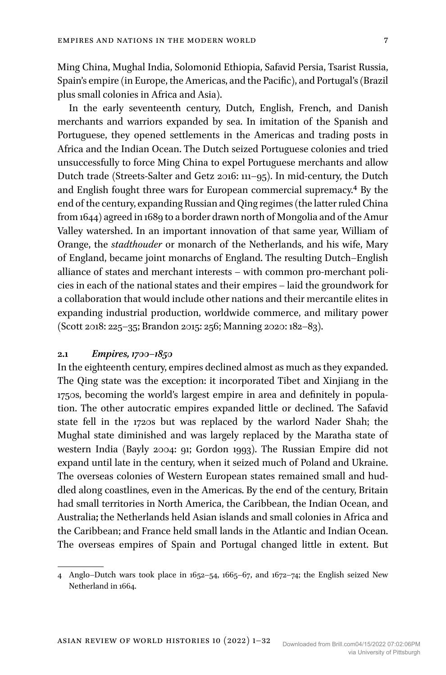Ming China, Mughal India, Solomonid Ethiopia, Safavid Persia, Tsarist Russia, Spain's empire (in Europe, the Americas, and the Pacific), and Portugal's (Brazil plus small colonies in Africa and Asia).

In the early seventeenth century, Dutch, English, French, and Danish merchants and warriors expanded by sea. In imitation of the Spanish and Portuguese, they opened settlements in the Americas and trading posts in Africa and the Indian Ocean. The Dutch seized Portuguese colonies and tried unsuccessfully to force Ming China to expel Portuguese merchants and allow Dutch trade (Streets-Salter and Getz 2016: 111–95). In mid-century, the Dutch and English fought three wars for European commercial supremacy.4 By the end of the century, expanding Russian and Qing regimes (the latter ruled China from 1644) agreed in 1689 to a border drawn north of Mongolia and of the Amur Valley watershed. In an important innovation of that same year, William of Orange, the *stadthouder* or monarch of the Netherlands, and his wife, Mary of England, became joint monarchs of England. The resulting Dutch–English alliance of states and merchant interests – with common pro-merchant policies in each of the national states and their empires – laid the groundwork for a collaboration that would include other nations and their mercantile elites in expanding industrial production, worldwide commerce, and military power (Scott 2018: 225–35; Brandon 2015: 256; Manning 2020: 182–83).

## **2.1** *Empires, 1700–1850*

In the eighteenth century, empires declined almost as much as they expanded. The Qing state was the exception: it incorporated Tibet and Xinjiang in the 1750s, becoming the world's largest empire in area and definitely in population. The other autocratic empires expanded little or declined. The Safavid state fell in the 1720s but was replaced by the warlord Nader Shah; the Mughal state diminished and was largely replaced by the Maratha state of western India (Bayly 2004: 91; Gordon 1993). The Russian Empire did not expand until late in the century, when it seized much of Poland and Ukraine. The overseas colonies of Western European states remained small and huddled along coastlines, even in the Americas. By the end of the century, Britain had small territories in North America, the Caribbean, the Indian Ocean, and Australia**;** the Netherlands held Asian islands and small colonies in Africa and the Caribbean; and France held small lands in the Atlantic and Indian Ocean. The overseas empires of Spain and Portugal changed little in extent. But

<sup>4</sup> Anglo–Dutch wars took place in 1652–54, 1665–67, and 1672–74; the English seized New Netherland in 1664.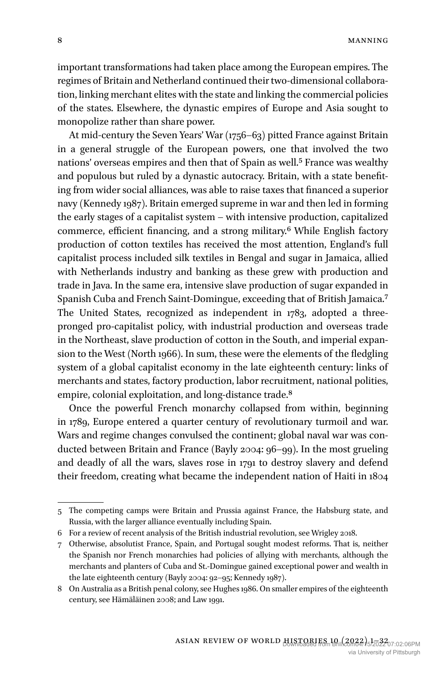important transformations had taken place among the European empires. The regimes of Britain and Netherland continued their two-dimensional collaboration, linking merchant elites with the state and linking the commercial policies of the states. Elsewhere, the dynastic empires of Europe and Asia sought to monopolize rather than share power.

At mid-century the Seven Years' War (1756–63) pitted France against Britain in a general struggle of the European powers, one that involved the two nations' overseas empires and then that of Spain as well.5 France was wealthy and populous but ruled by a dynastic autocracy. Britain, with a state benefiting from wider social alliances, was able to raise taxes that financed a superior navy (Kennedy 1987). Britain emerged supreme in war and then led in forming the early stages of a capitalist system – with intensive production, capitalized commerce, efficient financing, and a strong military.6 While English factory production of cotton textiles has received the most attention, England's full capitalist process included silk textiles in Bengal and sugar in Jamaica, allied with Netherlands industry and banking as these grew with production and trade in Java. In the same era, intensive slave production of sugar expanded in Spanish Cuba and French Saint-Domingue, exceeding that of British Jamaica.7 The United States, recognized as independent in 1783, adopted a threepronged pro-capitalist policy, with industrial production and overseas trade in the Northeast, slave production of cotton in the South, and imperial expansion to the West (North 1966). In sum, these were the elements of the fledgling system of a global capitalist economy in the late eighteenth century: links of merchants and states, factory production, labor recruitment, national polities, empire, colonial exploitation, and long-distance trade.<sup>8</sup>

Once the powerful French monarchy collapsed from within, beginning in 1789, Europe entered a quarter century of revolutionary turmoil and war. Wars and regime changes convulsed the continent; global naval war was conducted between Britain and France (Bayly 2004: 96–99). In the most grueling and deadly of all the wars, slaves rose in 1791 to destroy slavery and defend their freedom, creating what became the independent nation of Haiti in 1804

<sup>5</sup> The competing camps were Britain and Prussia against France, the Habsburg state, and Russia, with the larger alliance eventually including Spain.

<sup>6</sup> For a review of recent analysis of the British industrial revolution, see Wrigley 2018.

<sup>7</sup> Otherwise, absolutist France, Spain, and Portugal sought modest reforms. That is, neither the Spanish nor French monarchies had policies of allying with merchants, although the merchants and planters of Cuba and St.-Domingue gained exceptional power and wealth in the late eighteenth century (Bayly 2004: 92–95; Kennedy 1987).

<sup>8</sup> On Australia as a British penal colony, see Hughes 1986. On smaller empires of the eighteenth century, see Hämäläinen 2008; and Law 1991.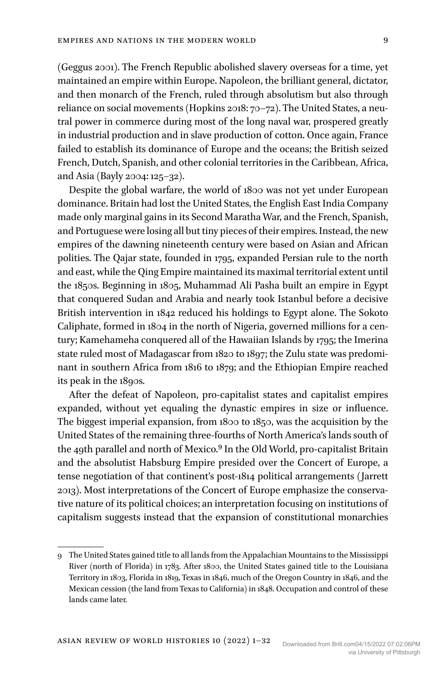(Geggus 2001). The French Republic abolished slavery overseas for a time, yet maintained an empire within Europe. Napoleon, the brilliant general, dictator, and then monarch of the French, ruled through absolutism but also through reliance on social movements (Hopkins 2018: 70–72). The United States, a neutral power in commerce during most of the long naval war, prospered greatly in industrial production and in slave production of cotton. Once again, France failed to establish its dominance of Europe and the oceans; the British seized French, Dutch, Spanish, and other colonial territories in the Caribbean, Africa, and Asia (Bayly 2004: 125–32).

Despite the global warfare, the world of 1800 was not yet under European dominance. Britain had lost the United States, the English East India Company made only marginal gains in its Second Maratha War, and the French, Spanish, and Portuguese were losing all but tiny pieces of their empires. Instead, the new empires of the dawning nineteenth century were based on Asian and African polities. The Qajar state, founded in 1795, expanded Persian rule to the north and east, while the Qing Empire maintained its maximal territorial extent until the 1850s. Beginning in 1805, Muhammad Ali Pasha built an empire in Egypt that conquered Sudan and Arabia and nearly took Istanbul before a decisive British intervention in 1842 reduced his holdings to Egypt alone. The Sokoto Caliphate, formed in 1804 in the north of Nigeria, governed millions for a century; Kamehameha conquered all of the Hawaiian Islands by 1795; the Imerina state ruled most of Madagascar from 1820 to 1897; the Zulu state was predominant in southern Africa from 1816 to 1879; and the Ethiopian Empire reached its peak in the 1890s.

After the defeat of Napoleon, pro-capitalist states and capitalist empires expanded, without yet equaling the dynastic empires in size or influence. The biggest imperial expansion, from 1800 to 1850, was the acquisition by the United States of the remaining three-fourths of North America's lands south of the 49th parallel and north of Mexico.<sup>9</sup> In the Old World, pro-capitalist Britain and the absolutist Habsburg Empire presided over the Concert of Europe, a tense negotiation of that continent's post-1814 political arrangements (Jarrett 2013). Most interpretations of the Concert of Europe emphasize the conservative nature of its political choices; an interpretation focusing on institutions of capitalism suggests instead that the expansion of constitutional monarchies

<sup>9</sup> The United States gained title to all lands from the Appalachian Mountains to the Mississippi River (north of Florida) in 1783. After 1800, the United States gained title to the Louisiana Territory in 1803, Florida in 1819, Texas in 1846, much of the Oregon Country in 1846, and the Mexican cession (the land from Texas to California) in 1848. Occupation and control of these lands came later.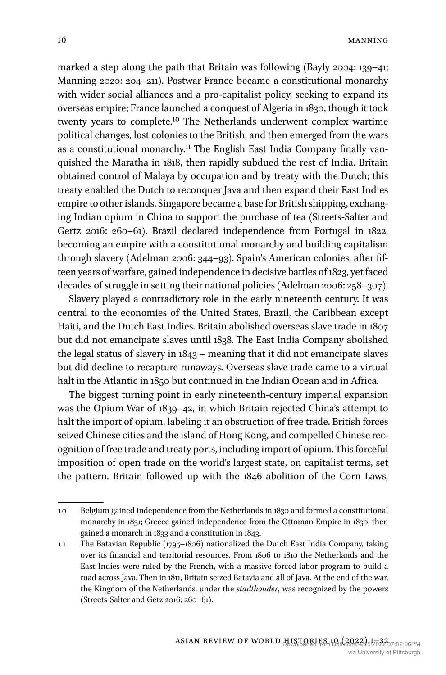marked a step along the path that Britain was following (Bayly 2004: 139–41; Manning 2020: 204–211). Postwar France became a constitutional monarchy with wider social alliances and a pro-capitalist policy, seeking to expand its overseas empire; France launched a conquest of Algeria in 1830, though it took twenty years to complete.10 The Netherlands underwent complex wartime political changes, lost colonies to the British, and then emerged from the wars as a constitutional monarchy.11 The English East India Company finally vanquished the Maratha in 1818, then rapidly subdued the rest of India. Britain obtained control of Malaya by occupation and by treaty with the Dutch; this treaty enabled the Dutch to reconquer Java and then expand their East Indies empire to other islands. Singapore became a base for British shipping, exchanging Indian opium in China to support the purchase of tea (Streets-Salter and Gertz 2016: 260–61). Brazil declared independence from Portugal in 1822, becoming an empire with a constitutional monarchy and building capitalism through slavery (Adelman 2006: 344–93). Spain's American colonies, after fifteen years of warfare, gained independence in decisive battles of 1823, yet faced decades of struggle in setting their national policies (Adelman 2006: 258–307).

Slavery played a contradictory role in the early nineteenth century. It was central to the economies of the United States, Brazil, the Caribbean except Haiti, and the Dutch East Indies. Britain abolished overseas slave trade in 1807 but did not emancipate slaves until 1838. The East India Company abolished the legal status of slavery in 1843 – meaning that it did not emancipate slaves but did decline to recapture runaways. Overseas slave trade came to a virtual halt in the Atlantic in 1850 but continued in the Indian Ocean and in Africa.

The biggest turning point in early nineteenth-century imperial expansion was the Opium War of 1839–42, in which Britain rejected China's attempt to halt the import of opium, labeling it an obstruction of free trade. British forces seized Chinese cities and the island of Hong Kong, and compelled Chinese recognition of free trade and treaty ports, including import of opium. This forceful imposition of open trade on the world's largest state, on capitalist terms, set the pattern. Britain followed up with the 1846 abolition of the Corn Laws,

<sup>10</sup> Belgium gained independence from the Netherlands in 1830 and formed a constitutional monarchy in 1831; Greece gained independence from the Ottoman Empire in 1830, then gained a monarch in 1833 and a constitution in 1843.

<sup>11</sup> The Batavian Republic (1795–1806) nationalized the Dutch East India Company, taking over its financial and territorial resources. From 1806 to 1810 the Netherlands and the East Indies were ruled by the French, with a massive forced-labor program to build a road across Java. Then in 1811, Britain seized Batavia and all of Java. At the end of the war, the Kingdom of the Netherlands, under the *stadthouder*, was recognized by the powers (Streets-Salter and Getz 2016: 260–61).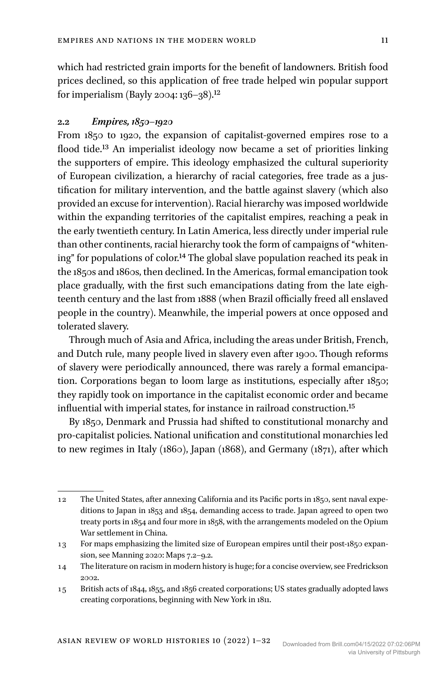which had restricted grain imports for the benefit of landowners. British food prices declined, so this application of free trade helped win popular support for imperialism (Bayly 2004: 136–38).<sup>12</sup>

## **2.2** *Empires, 1850–1920*

From 1850 to 1920, the expansion of capitalist-governed empires rose to a flood tide.13 An imperialist ideology now became a set of priorities linking the supporters of empire. This ideology emphasized the cultural superiority of European civilization, a hierarchy of racial categories, free trade as a justification for military intervention, and the battle against slavery (which also provided an excuse for intervention). Racial hierarchy was imposed worldwide within the expanding territories of the capitalist empires, reaching a peak in the early twentieth century. In Latin America, less directly under imperial rule than other continents, racial hierarchy took the form of campaigns of "whitening" for populations of color.14 The global slave population reached its peak in the 1850s and 1860s, then declined. In the Americas, formal emancipation took place gradually, with the first such emancipations dating from the late eighteenth century and the last from 1888 (when Brazil officially freed all enslaved people in the country). Meanwhile, the imperial powers at once opposed and tolerated slavery.

Through much of Asia and Africa, including the areas under British, French, and Dutch rule, many people lived in slavery even after 1900. Though reforms of slavery were periodically announced, there was rarely a formal emancipation. Corporations began to loom large as institutions, especially after 1850; they rapidly took on importance in the capitalist economic order and became influential with imperial states, for instance in railroad construction.15

By 1850, Denmark and Prussia had shifted to constitutional monarchy and pro-capitalist policies. National unification and constitutional monarchies led to new regimes in Italy (1860), Japan (1868), and Germany (1871), after which

<sup>12</sup> The United States, after annexing California and its Pacific ports in 1850, sent naval expeditions to Japan in 1853 and 1854, demanding access to trade. Japan agreed to open two treaty ports in 1854 and four more in 1858, with the arrangements modeled on the Opium War settlement in China.

<sup>13</sup> For maps emphasizing the limited size of European empires until their post-1850 expansion, see Manning 2020: Maps 7.2–9.2.

<sup>14</sup> The literature on racism in modern history is huge; for a concise overview, see Fredrickson 2002.

<sup>15</sup> British acts of 1844, 1855, and 1856 created corporations; US states gradually adopted laws creating corporations, beginning with New York in 1811.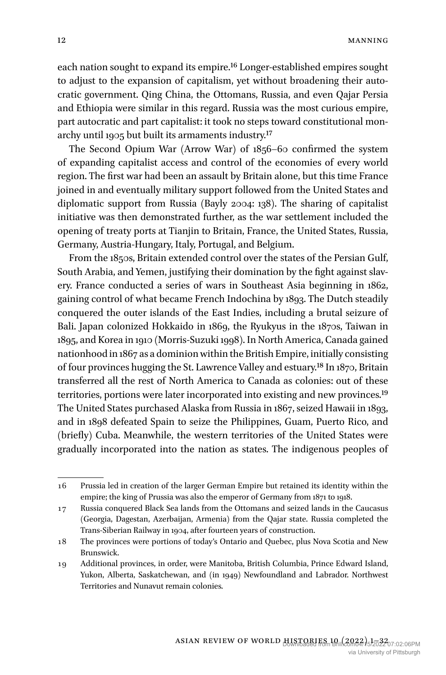each nation sought to expand its empire.16 Longer-established empires sought to adjust to the expansion of capitalism, yet without broadening their autocratic government. Qing China, the Ottomans, Russia, and even Qajar Persia and Ethiopia were similar in this regard. Russia was the most curious empire, part autocratic and part capitalist: it took no steps toward constitutional monarchy until 1905 but built its armaments industry.17

The Second Opium War (Arrow War) of 1856–60 confirmed the system of expanding capitalist access and control of the economies of every world region. The first war had been an assault by Britain alone, but this time France joined in and eventually military support followed from the United States and diplomatic support from Russia (Bayly 2004: 138). The sharing of capitalist initiative was then demonstrated further, as the war settlement included the opening of treaty ports at Tianjin to Britain, France, the United States, Russia, Germany, Austria-Hungary, Italy, Portugal, and Belgium.

From the 1850s, Britain extended control over the states of the Persian Gulf, South Arabia, and Yemen, justifying their domination by the fight against slavery. France conducted a series of wars in Southeast Asia beginning in 1862, gaining control of what became French Indochina by 1893. The Dutch steadily conquered the outer islands of the East Indies, including a brutal seizure of Bali. Japan colonized Hokkaido in 1869, the Ryukyus in the 1870s, Taiwan in 1895, and Korea in 1910 (Morris-Suzuki 1998). In North America, Canada gained nationhood in 1867 as a dominion within the British Empire, initially consisting of four provinces hugging the St. Lawrence Valley and estuary.18 In 1870, Britain transferred all the rest of North America to Canada as colonies: out of these territories, portions were later incorporated into existing and new provinces.19 The United States purchased Alaska from Russia in 1867, seized Hawaii in 1893, and in 1898 defeated Spain to seize the Philippines, Guam, Puerto Rico, and (briefly) Cuba. Meanwhile, the western territories of the United States were gradually incorporated into the nation as states. The indigenous peoples of

<sup>16</sup> Prussia led in creation of the larger German Empire but retained its identity within the empire; the king of Prussia was also the emperor of Germany from 1871 to 1918.

<sup>17</sup> Russia conquered Black Sea lands from the Ottomans and seized lands in the Caucasus (Georgia, Dagestan, Azerbaijan, Armenia) from the Qajar state. Russia completed the Trans-Siberian Railway in 1904, after fourteen years of construction.

<sup>18</sup> The provinces were portions of today's Ontario and Quebec, plus Nova Scotia and New Brunswick.

<sup>19</sup> Additional provinces, in order, were Manitoba, British Columbia, Prince Edward Island, Yukon, Alberta, Saskatchewan, and (in 1949) Newfoundland and Labrador. Northwest Territories and Nunavut remain colonies.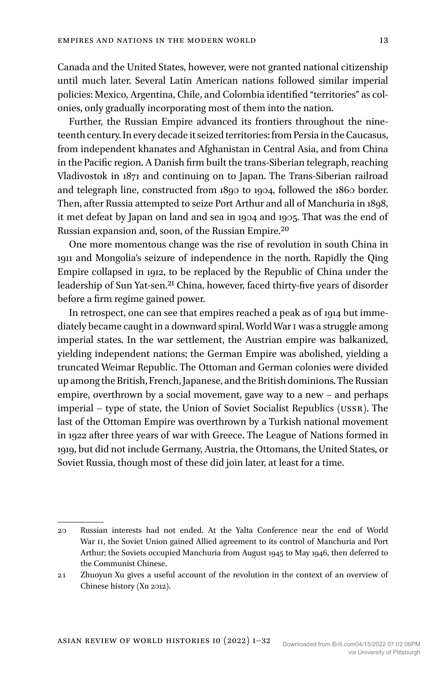Canada and the United States, however, were not granted national citizenship until much later. Several Latin American nations followed similar imperial policies: Mexico, Argentina, Chile, and Colombia identified "territories" as colonies, only gradually incorporating most of them into the nation.

Further, the Russian Empire advanced its frontiers throughout the nineteenth century. In every decade it seized territories: from Persia in the Caucasus, from independent khanates and Afghanistan in Central Asia, and from China in the Pacific region. A Danish firm built the trans-Siberian telegraph, reaching Vladivostok in 1871 and continuing on to Japan. The Trans-Siberian railroad and telegraph line, constructed from 1890 to 1904, followed the 1860 border. Then, after Russia attempted to seize Port Arthur and all of Manchuria in 1898, it met defeat by Japan on land and sea in 1904 and 1905. That was the end of Russian expansion and, soon, of the Russian Empire.20

One more momentous change was the rise of revolution in south China in 1911 and Mongolia's seizure of independence in the north. Rapidly the Qing Empire collapsed in 1912, to be replaced by the Republic of China under the leadership of Sun Yat-sen.<sup>21</sup> China, however, faced thirty-five years of disorder before a firm regime gained power.

In retrospect, one can see that empires reached a peak as of 1914 but immediately became caught in a downward spiral. World War I was a struggle among imperial states. In the war settlement, the Austrian empire was balkanized, yielding independent nations; the German Empire was abolished, yielding a truncated Weimar Republic. The Ottoman and German colonies were divided up among the British, French, Japanese, and the British dominions. The Russian empire, overthrown by a social movement, gave way to a new – and perhaps imperial – type of state, the Union of Soviet Socialist Republics (USSR). The last of the Ottoman Empire was overthrown by a Turkish national movement in 1922 after three years of war with Greece. The League of Nations formed in 1919, but did not include Germany, Austria, the Ottomans, the United States, or Soviet Russia, though most of these did join later, at least for a time.

<sup>20</sup> Russian interests had not ended. At the Yalta Conference near the end of World War II, the Soviet Union gained Allied agreement to its control of Manchuria and Port Arthur; the Soviets occupied Manchuria from August 1945 to May 1946, then deferred to the Communist Chinese.

<sup>21</sup> Zhuoyun Xu gives a useful account of the revolution in the context of an overview of Chinese history (Xu 2012).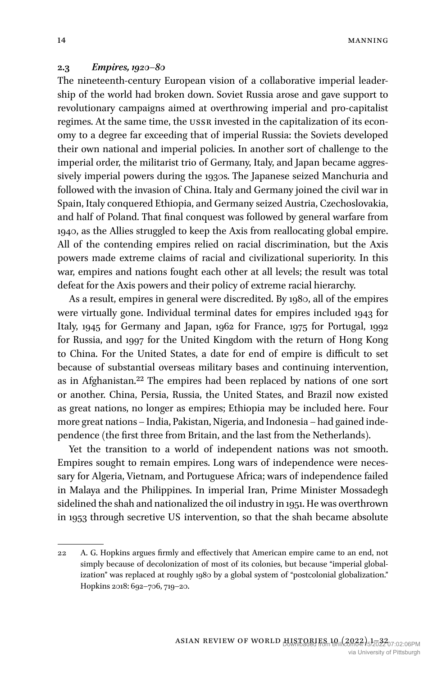14 MANNING

#### **2.3** *Empires, 1920–80*

The nineteenth-century European vision of a collaborative imperial leadership of the world had broken down. Soviet Russia arose and gave support to revolutionary campaigns aimed at overthrowing imperial and pro-capitalist regimes. At the same time, the USSR invested in the capitalization of its economy to a degree far exceeding that of imperial Russia: the Soviets developed their own national and imperial policies. In another sort of challenge to the imperial order, the militarist trio of Germany, Italy, and Japan became aggressively imperial powers during the 1930s. The Japanese seized Manchuria and followed with the invasion of China. Italy and Germany joined the civil war in Spain, Italy conquered Ethiopia, and Germany seized Austria, Czechoslovakia, and half of Poland. That final conquest was followed by general warfare from 1940, as the Allies struggled to keep the Axis from reallocating global empire. All of the contending empires relied on racial discrimination, but the Axis powers made extreme claims of racial and civilizational superiority. In this war, empires and nations fought each other at all levels; the result was total defeat for the Axis powers and their policy of extreme racial hierarchy.

As a result, empires in general were discredited. By 1980, all of the empires were virtually gone. Individual terminal dates for empires included 1943 for Italy, 1945 for Germany and Japan, 1962 for France, 1975 for Portugal, 1992 for Russia, and 1997 for the United Kingdom with the return of Hong Kong to China. For the United States, a date for end of empire is difficult to set because of substantial overseas military bases and continuing intervention, as in Afghanistan.22 The empires had been replaced by nations of one sort or another. China, Persia, Russia, the United States, and Brazil now existed as great nations, no longer as empires; Ethiopia may be included here. Four more great nations – India, Pakistan, Nigeria, and Indonesia – had gained independence (the first three from Britain, and the last from the Netherlands).

Yet the transition to a world of independent nations was not smooth. Empires sought to remain empires. Long wars of independence were necessary for Algeria, Vietnam, and Portuguese Africa; wars of independence failed in Malaya and the Philippines. In imperial Iran, Prime Minister Mossadegh sidelined the shah and nationalized the oil industry in 1951. He was overthrown in 1953 through secretive US intervention, so that the shah became absolute

<sup>22</sup> A. G. Hopkins argues firmly and effectively that American empire came to an end, not simply because of decolonization of most of its colonies, but because "imperial globalization" was replaced at roughly 1980 by a global system of "postcolonial globalization." Hopkins 2018: 692–706, 719–20.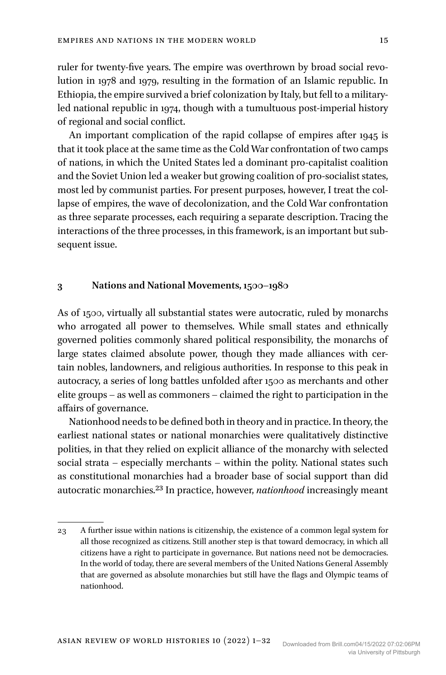ruler for twenty-five years. The empire was overthrown by broad social revolution in 1978 and 1979, resulting in the formation of an Islamic republic. In Ethiopia, the empire survived a brief colonization by Italy, but fell to a militaryled national republic in 1974, though with a tumultuous post-imperial history of regional and social conflict.

An important complication of the rapid collapse of empires after 1945 is that it took place at the same time as the Cold War confrontation of two camps of nations, in which the United States led a dominant pro-capitalist coalition and the Soviet Union led a weaker but growing coalition of pro-socialist states, most led by communist parties. For present purposes, however, I treat the collapse of empires, the wave of decolonization, and the Cold War confrontation as three separate processes, each requiring a separate description. Tracing the interactions of the three processes, in this framework, is an important but subsequent issue.

#### **3 Nations and National Movements, 1500–1980**

As of 1500, virtually all substantial states were autocratic, ruled by monarchs who arrogated all power to themselves. While small states and ethnically governed polities commonly shared political responsibility, the monarchs of large states claimed absolute power, though they made alliances with certain nobles, landowners, and religious authorities. In response to this peak in autocracy, a series of long battles unfolded after 1500 as merchants and other elite groups – as well as commoners – claimed the right to participation in the affairs of governance.

Nationhood needs to be defined both in theory and in practice. In theory, the earliest national states or national monarchies were qualitatively distinctive polities, in that they relied on explicit alliance of the monarchy with selected social strata – especially merchants – within the polity. National states such as constitutional monarchies had a broader base of social support than did autocratic monarchies.23 In practice, however, *nationhood* increasingly meant

<sup>23</sup> A further issue within nations is citizenship, the existence of a common legal system for all those recognized as citizens. Still another step is that toward democracy, in which all citizens have a right to participate in governance. But nations need not be democracies. In the world of today, there are several members of the United Nations General Assembly that are governed as absolute monarchies but still have the flags and Olympic teams of nationhood.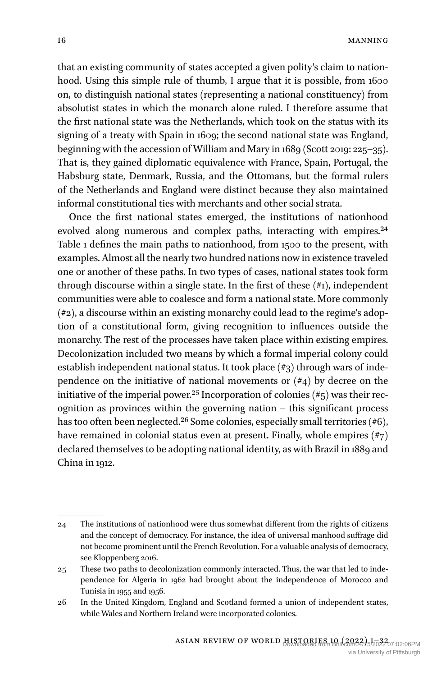that an existing community of states accepted a given polity's claim to nationhood. Using this simple rule of thumb, I argue that it is possible, from 1600 on, to distinguish national states (representing a national constituency) from absolutist states in which the monarch alone ruled. I therefore assume that the first national state was the Netherlands, which took on the status with its signing of a treaty with Spain in 1609; the second national state was England, beginning with the accession of William and Mary in 1689 (Scott 2019: 225–35). That is, they gained diplomatic equivalence with France, Spain, Portugal, the Habsburg state, Denmark, Russia, and the Ottomans, but the formal rulers of the Netherlands and England were distinct because they also maintained informal constitutional ties with merchants and other social strata.

Once the first national states emerged, the institutions of nationhood evolved along numerous and complex paths, interacting with empires.<sup>24</sup> Table 1 defines the main paths to nationhood, from 1500 to the present, with examples. Almost all the nearly two hundred nations now in existence traveled one or another of these paths. In two types of cases, national states took form through discourse within a single state. In the first of these  $(\#_1)$ , independent communities were able to coalesce and form a national state. More commonly (#2), a discourse within an existing monarchy could lead to the regime's adoption of a constitutional form, giving recognition to influences outside the monarchy. The rest of the processes have taken place within existing empires. Decolonization included two means by which a formal imperial colony could establish independent national status. It took place (#3) through wars of independence on the initiative of national movements or  $(\#4)$  by decree on the initiative of the imperial power.<sup>25</sup> Incorporation of colonies  $(\#_5)$  was their recognition as provinces within the governing nation – this significant process has too often been neglected.<sup>26</sup> Some colonies, especially small territories (#6), have remained in colonial status even at present. Finally, whole empires (#7) declared themselves to be adopting national identity, as with Brazil in 1889 and China in 1912.

<sup>24</sup> The institutions of nationhood were thus somewhat different from the rights of citizens and the concept of democracy. For instance, the idea of universal manhood suffrage did not become prominent until the French Revolution. For a valuable analysis of democracy, see Kloppenberg 2016.

<sup>25</sup> These two paths to decolonization commonly interacted. Thus, the war that led to independence for Algeria in 1962 had brought about the independence of Morocco and Tunisia in 1955 and 1956.

<sup>26</sup> In the United Kingdom, England and Scotland formed a union of independent states, while Wales and Northern Ireland were incorporated colonies.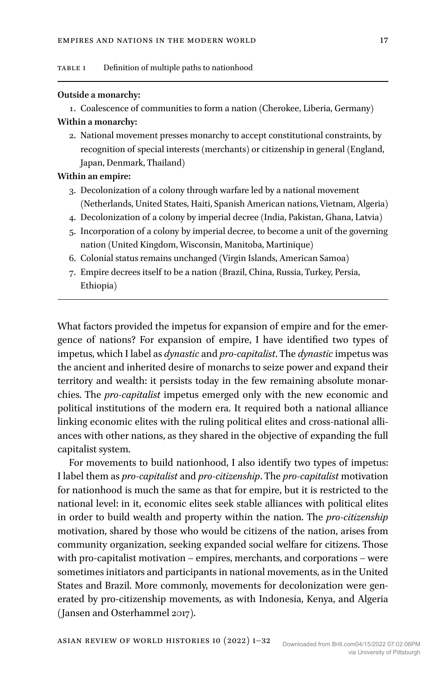#### **Outside a monarchy:**

1. Coalescence of communities to form a nation (Cherokee, Liberia, Germany)

# **Within a monarchy:**

2. National movement presses monarchy to accept constitutional constraints, by recognition of special interests (merchants) or citizenship in general (England, Japan, Denmark, Thailand)

## **Within an empire:**

- 3. Decolonization of a colony through warfare led by a national movement (Netherlands, United States, Haiti, Spanish American nations, Vietnam, Algeria)
- 4. Decolonization of a colony by imperial decree (India, Pakistan, Ghana, Latvia)
- 5. Incorporation of a colony by imperial decree, to become a unit of the governing nation (United Kingdom, Wisconsin, Manitoba, Martinique)
- 6. Colonial status remains unchanged (Virgin Islands, American Samoa)
- 7. Empire decrees itself to be a nation (Brazil, China, Russia, Turkey, Persia, Ethiopia)

What factors provided the impetus for expansion of empire and for the emergence of nations? For expansion of empire, I have identified two types of impetus, which I label as *dynastic* and *pro-capitalist*. The *dynastic* impetus was the ancient and inherited desire of monarchs to seize power and expand their territory and wealth: it persists today in the few remaining absolute monarchies. The *pro-capitalist* impetus emerged only with the new economic and political institutions of the modern era. It required both a national alliance linking economic elites with the ruling political elites and cross-national alliances with other nations, as they shared in the objective of expanding the full capitalist system.

For movements to build nationhood, I also identify two types of impetus: I label them as *pro-capitalist* and *pro-citizenship*. The *pro-capitalist* motivation for nationhood is much the same as that for empire, but it is restricted to the national level: in it, economic elites seek stable alliances with political elites in order to build wealth and property within the nation. The *pro-citizenship* motivation, shared by those who would be citizens of the nation, arises from community organization, seeking expanded social welfare for citizens. Those with pro-capitalist motivation – empires, merchants, and corporations – were sometimes initiators and participants in national movements, as in the United States and Brazil. More commonly, movements for decolonization were generated by pro-citizenship movements, as with Indonesia, Kenya, and Algeria (Jansen and Osterhammel 2017).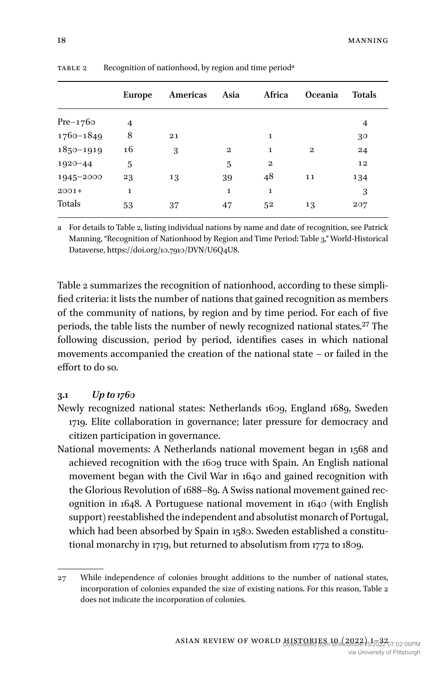|               | <b>Europe</b> | Americas | Asia         | Africa       | <b>Oceania</b> | <b>Totals</b> |  |
|---------------|---------------|----------|--------------|--------------|----------------|---------------|--|
| $Pre-1760$    | 4             |          |              |              |                | 4             |  |
| $1760 - 1849$ | 8             | 21       |              | 1            |                | 30            |  |
| $1850 - 1919$ | 16            | 3        | $\mathbf{2}$ | 1            | $\mathbf{2}$   | 24            |  |
| $1920 - 44$   | 5             |          | 5            | $\mathbf{2}$ |                | 12            |  |
| 1945-2000     | 23            | 13       | 39           | 48           | 11             | 134           |  |
| $2001+$       | $\mathbf 1$   |          | 1            | 1            |                | 3             |  |
| Totals        | 53            | 37       | 47           | 52           | 13             | 207           |  |

TABLE 2 Recognition of nationhood, by region and time period<sup>a</sup>

a For details to Table 2, listing individual nations by name and date of recognition, see Patrick Manning, "Recognition of Nationhood by Region and Time Period: Table 3," World-Historical Dataverse, <https://doi.org/10.7910/DVN/U6Q4U8>.

Table 2 summarizes the recognition of nationhood, according to these simplified criteria: it lists the number of nations that gained recognition as members of the community of nations, by region and by time period. For each of five periods, the table lists the number of newly recognized national states.<sup>27</sup> The following discussion, period by period, identifies cases in which national movements accompanied the creation of the national state – or failed in the effort to do so.

#### **3.1** *Up to 1760*

- Newly recognized national states: Netherlands 1609, England 1689, Sweden 1719. Elite collaboration in governance; later pressure for democracy and citizen participation in governance.
- National movements: A Netherlands national movement began in 1568 and achieved recognition with the 1609 truce with Spain. An English national movement began with the Civil War in 1640 and gained recognition with the Glorious Revolution of 1688–89. A Swiss national movement gained recognition in 1648. A Portuguese national movement in 1640 (with English support) reestablished the independent and absolutist monarch of Portugal, which had been absorbed by Spain in 1580. Sweden established a constitutional monarchy in 1719, but returned to absolutism from 1772 to 1809.

<sup>27</sup> While independence of colonies brought additions to the number of national states, incorporation of colonies expanded the size of existing nations. For this reason, Table 2 does not indicate the incorporation of colonies.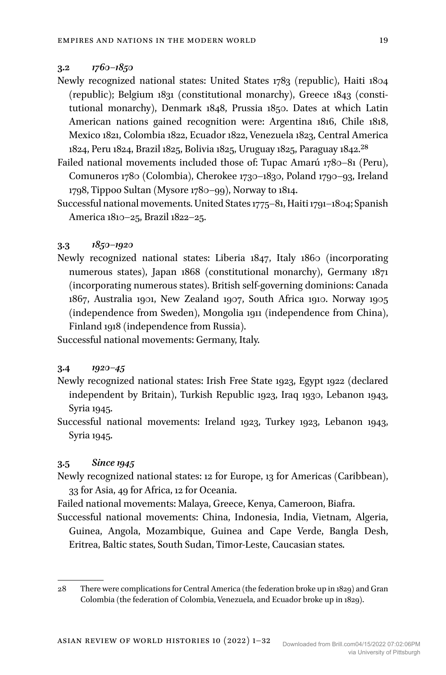#### **3.2** *1760–1850*

- Newly recognized national states: United States 1783 (republic), Haiti 1804 (republic); Belgium 1831 (constitutional monarchy), Greece 1843 (constitutional monarchy), Denmark 1848, Prussia 1850. Dates at which Latin American nations gained recognition were: Argentina 1816, Chile 1818, Mexico 1821, Colombia 1822, Ecuador 1822, Venezuela 1823, Central America 1824, Peru 1824, Brazil 1825, Bolivia 1825, Uruguay 1825, Paraguay 1842.28
- Failed national movements included those of: Tupac Amarú 1780–81 (Peru), Comuneros 1780 (Colombia), Cherokee 1730–1830, Poland 1790–93, Ireland 1798, Tippoo Sultan (Mysore 1780–99), Norway to 1814.
- Successful national movements. United States 1775–81, Haiti 1791–1804; Spanish America 1810–25, Brazil 1822–25.

#### **3.3** *1850–1920*

Newly recognized national states: Liberia 1847, Italy 1860 (incorporating numerous states), Japan 1868 (constitutional monarchy), Germany 1871 (incorporating numerous states). British self-governing dominions: Canada 1867, Australia 1901, New Zealand 1907, South Africa 1910. Norway 1905 (independence from Sweden), Mongolia 1911 (independence from China), Finland 1918 (independence from Russia).

Successful national movements: Germany, Italy.

#### **3.4** *1920–45*

- Newly recognized national states: Irish Free State 1923, Egypt 1922 (declared independent by Britain), Turkish Republic 1923, Iraq 1930, Lebanon 1943, Syria 1945.
- Successful national movements: Ireland 1923, Turkey 1923, Lebanon 1943, Syria 1945.

## **3.5** *Since 1945*

- Newly recognized national states: 12 for Europe, 13 for Americas (Caribbean), 33 for Asia, 49 for Africa, 12 for Oceania.
- Failed national movements: Malaya, Greece, Kenya, Cameroon, Biafra.
- Successful national movements: China, Indonesia, India, Vietnam, Algeria, Guinea, Angola, Mozambique, Guinea and Cape Verde, Bangla Desh, Eritrea, Baltic states, South Sudan, Timor-Leste, Caucasian states.

<sup>28</sup> There were complications for Central America (the federation broke up in 1829) and Gran Colombia (the federation of Colombia, Venezuela, and Ecuador broke up in 1829).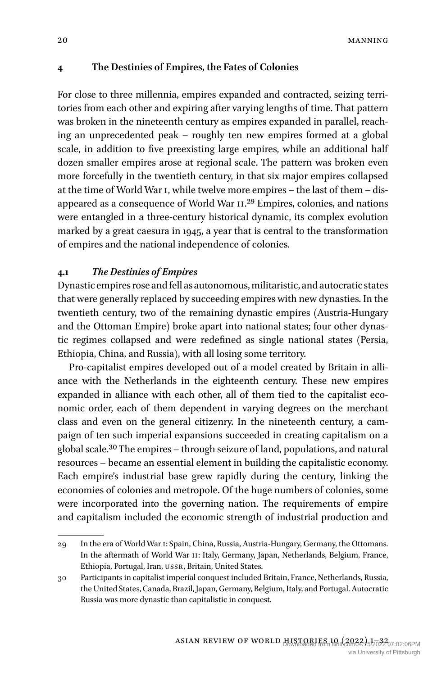## **4 The Destinies of Empires, the Fates of Colonies**

For close to three millennia, empires expanded and contracted, seizing territories from each other and expiring after varying lengths of time. That pattern was broken in the nineteenth century as empires expanded in parallel, reaching an unprecedented peak – roughly ten new empires formed at a global scale, in addition to five preexisting large empires, while an additional half dozen smaller empires arose at regional scale. The pattern was broken even more forcefully in the twentieth century, in that six major empires collapsed at the time of World War I, while twelve more empires – the last of them – disappeared as a consequence of World War II.29 Empires, colonies, and nations were entangled in a three-century historical dynamic, its complex evolution marked by a great caesura in 1945, a year that is central to the transformation of empires and the national independence of colonies.

## **4.1** *The Destinies of Empires*

Dynastic empires rose and fell as autonomous, militaristic, and autocratic states that were generally replaced by succeeding empires with new dynasties. In the twentieth century, two of the remaining dynastic empires (Austria-Hungary and the Ottoman Empire) broke apart into national states; four other dynastic regimes collapsed and were redefined as single national states (Persia, Ethiopia, China, and Russia), with all losing some territory.

Pro-capitalist empires developed out of a model created by Britain in alliance with the Netherlands in the eighteenth century. These new empires expanded in alliance with each other, all of them tied to the capitalist economic order, each of them dependent in varying degrees on the merchant class and even on the general citizenry. In the nineteenth century, a campaign of ten such imperial expansions succeeded in creating capitalism on a global scale.30 The empires – through seizure of land, populations, and natural resources – became an essential element in building the capitalistic economy. Each empire's industrial base grew rapidly during the century, linking the economies of colonies and metropole. Of the huge numbers of colonies, some were incorporated into the governing nation. The requirements of empire and capitalism included the economic strength of industrial production and

<sup>29</sup> In the era of World War I: Spain, China, Russia, Austria-Hungary, Germany, the Ottomans. In the aftermath of World War II: Italy, Germany, Japan, Netherlands, Belgium, France, Ethiopia, Portugal, Iran, USSR, Britain, United States.

<sup>30</sup> Participants in capitalist imperial conquest included Britain, France, Netherlands, Russia, the United States, Canada, Brazil, Japan, Germany, Belgium, Italy, and Portugal. Autocratic Russia was more dynastic than capitalistic in conquest.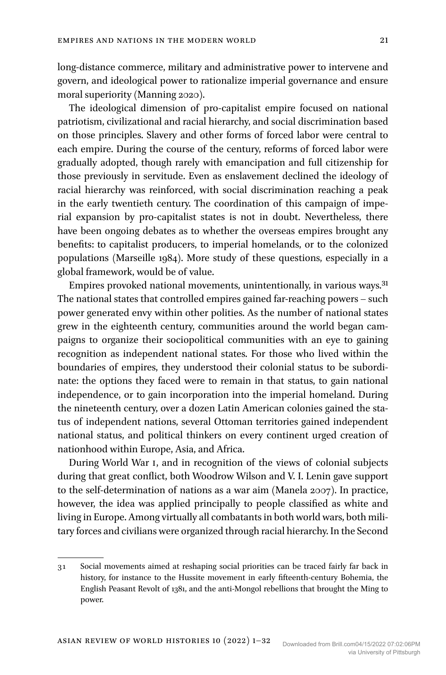long-distance commerce, military and administrative power to intervene and govern, and ideological power to rationalize imperial governance and ensure moral superiority (Manning 2020).

The ideological dimension of pro-capitalist empire focused on national patriotism, civilizational and racial hierarchy, and social discrimination based on those principles. Slavery and other forms of forced labor were central to each empire. During the course of the century, reforms of forced labor were gradually adopted, though rarely with emancipation and full citizenship for those previously in servitude. Even as enslavement declined the ideology of racial hierarchy was reinforced, with social discrimination reaching a peak in the early twentieth century. The coordination of this campaign of imperial expansion by pro-capitalist states is not in doubt. Nevertheless, there have been ongoing debates as to whether the overseas empires brought any benefits: to capitalist producers, to imperial homelands, or to the colonized populations (Marseille 1984). More study of these questions, especially in a global framework, would be of value.

Empires provoked national movements, unintentionally, in various ways.31 The national states that controlled empires gained far-reaching powers – such power generated envy within other polities. As the number of national states grew in the eighteenth century, communities around the world began campaigns to organize their sociopolitical communities with an eye to gaining recognition as independent national states. For those who lived within the boundaries of empires, they understood their colonial status to be subordinate: the options they faced were to remain in that status, to gain national independence, or to gain incorporation into the imperial homeland. During the nineteenth century, over a dozen Latin American colonies gained the status of independent nations, several Ottoman territories gained independent national status, and political thinkers on every continent urged creation of nationhood within Europe, Asia, and Africa.

During World War I, and in recognition of the views of colonial subjects during that great conflict, both Woodrow Wilson and V. I. Lenin gave support to the self-determination of nations as a war aim (Manela 2007). In practice, however, the idea was applied principally to people classified as white and living in Europe. Among virtually all combatants in both world wars, both military forces and civilians were organized through racial hierarchy. In the Second

<sup>31</sup> Social movements aimed at reshaping social priorities can be traced fairly far back in history, for instance to the Hussite movement in early fifteenth-century Bohemia, the English Peasant Revolt of 1381, and the anti-Mongol rebellions that brought the Ming to power.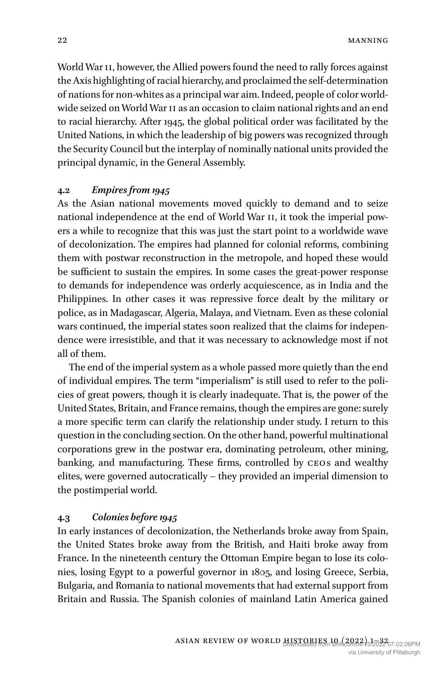World War II, however, the Allied powers found the need to rally forces against the Axis highlighting of racial hierarchy, and proclaimed the self-determination of nations for non-whites as a principal war aim. Indeed, people of color worldwide seized on World War II as an occasion to claim national rights and an end to racial hierarchy. After 1945, the global political order was facilitated by the United Nations, in which the leadership of big powers was recognized through the Security Council but the interplay of nominally national units provided the principal dynamic, in the General Assembly.

#### **4.2** *Empires from 1945*

As the Asian national movements moved quickly to demand and to seize national independence at the end of World War II, it took the imperial powers a while to recognize that this was just the start point to a worldwide wave of decolonization. The empires had planned for colonial reforms, combining them with postwar reconstruction in the metropole, and hoped these would be sufficient to sustain the empires. In some cases the great-power response to demands for independence was orderly acquiescence, as in India and the Philippines. In other cases it was repressive force dealt by the military or police, as in Madagascar, Algeria, Malaya, and Vietnam. Even as these colonial wars continued, the imperial states soon realized that the claims for independence were irresistible, and that it was necessary to acknowledge most if not all of them.

The end of the imperial system as a whole passed more quietly than the end of individual empires. The term "imperialism" is still used to refer to the policies of great powers, though it is clearly inadequate. That is, the power of the United States, Britain, and France remains, though the empires are gone: surely a more specific term can clarify the relationship under study. I return to this question in the concluding section. On the other hand, powerful multinational corporations grew in the postwar era, dominating petroleum, other mining, banking, and manufacturing. These firms, controlled by CEOs and wealthy elites, were governed autocratically – they provided an imperial dimension to the postimperial world.

## **4.3** *Colonies before 1945*

In early instances of decolonization, the Netherlands broke away from Spain, the United States broke away from the British, and Haiti broke away from France. In the nineteenth century the Ottoman Empire began to lose its colonies, losing Egypt to a powerful governor in 1805, and losing Greece, Serbia, Bulgaria, and Romania to national movements that had external support from Britain and Russia. The Spanish colonies of mainland Latin America gained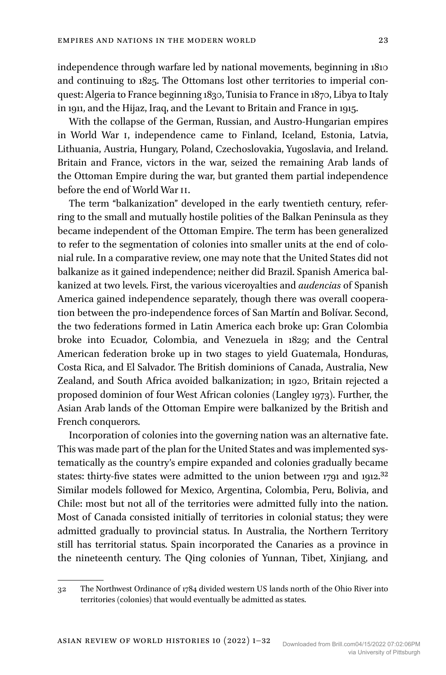independence through warfare led by national movements, beginning in 1810 and continuing to 1825. The Ottomans lost other territories to imperial conquest: Algeria to France beginning 1830, Tunisia to France in 1870, Libya to Italy in 1911, and the Hijaz, Iraq, and the Levant to Britain and France in 1915.

With the collapse of the German, Russian, and Austro-Hungarian empires in World War I, independence came to Finland, Iceland, Estonia, Latvia, Lithuania, Austria, Hungary, Poland, Czechoslovakia, Yugoslavia, and Ireland. Britain and France, victors in the war, seized the remaining Arab lands of the Ottoman Empire during the war, but granted them partial independence before the end of World War II.

The term "balkanization" developed in the early twentieth century, referring to the small and mutually hostile polities of the Balkan Peninsula as they became independent of the Ottoman Empire. The term has been generalized to refer to the segmentation of colonies into smaller units at the end of colonial rule. In a comparative review, one may note that the United States did not balkanize as it gained independence; neither did Brazil. Spanish America balkanized at two levels. First, the various viceroyalties and *audencias* of Spanish America gained independence separately, though there was overall cooperation between the pro-independence forces of San Martín and Bolívar. Second, the two federations formed in Latin America each broke up: Gran Colombia broke into Ecuador, Colombia, and Venezuela in 1829; and the Central American federation broke up in two stages to yield Guatemala, Honduras, Costa Rica, and El Salvador. The British dominions of Canada, Australia, New Zealand, and South Africa avoided balkanization; in 1920, Britain rejected a proposed dominion of four West African colonies (Langley 1973). Further, the Asian Arab lands of the Ottoman Empire were balkanized by the British and French conquerors.

Incorporation of colonies into the governing nation was an alternative fate. This was made part of the plan for the United States and was implemented systematically as the country's empire expanded and colonies gradually became states: thirty-five states were admitted to the union between 1791 and 1912.<sup>32</sup> Similar models followed for Mexico, Argentina, Colombia, Peru, Bolivia, and Chile: most but not all of the territories were admitted fully into the nation. Most of Canada consisted initially of territories in colonial status; they were admitted gradually to provincial status. In Australia, the Northern Territory still has territorial status. Spain incorporated the Canaries as a province in the nineteenth century. The Qing colonies of Yunnan, Tibet, Xinjiang, and

<sup>32</sup> The Northwest Ordinance of 1784 divided western US lands north of the Ohio River into territories (colonies) that would eventually be admitted as states.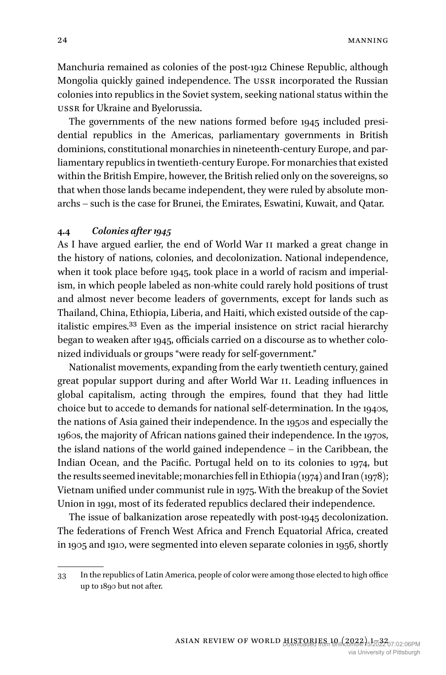Manchuria remained as colonies of the post-1912 Chinese Republic, although Mongolia quickly gained independence. The USSR incorporated the Russian colonies into republics in the Soviet system, seeking national status within the USSR for Ukraine and Byelorussia.

The governments of the new nations formed before 1945 included presidential republics in the Americas, parliamentary governments in British dominions, constitutional monarchies in nineteenth-century Europe, and parliamentary republics in twentieth-century Europe. For monarchies that existed within the British Empire, however, the British relied only on the sovereigns, so that when those lands became independent, they were ruled by absolute monarchs – such is the case for Brunei, the Emirates, Eswatini, Kuwait, and Qatar.

#### **4.4** *Colonies after 1945*

As I have argued earlier, the end of World War II marked a great change in the history of nations, colonies, and decolonization. National independence, when it took place before 1945, took place in a world of racism and imperialism, in which people labeled as non-white could rarely hold positions of trust and almost never become leaders of governments, except for lands such as Thailand, China, Ethiopia, Liberia, and Haiti, which existed outside of the capitalistic empires.33 Even as the imperial insistence on strict racial hierarchy began to weaken after 1945, officials carried on a discourse as to whether colonized individuals or groups "were ready for self-government."

Nationalist movements, expanding from the early twentieth century, gained great popular support during and after World War II. Leading influences in global capitalism, acting through the empires, found that they had little choice but to accede to demands for national self-determination. In the 1940s, the nations of Asia gained their independence. In the 1950s and especially the 1960s, the majority of African nations gained their independence. In the 1970s, the island nations of the world gained independence – in the Caribbean, the Indian Ocean, and the Pacific. Portugal held on to its colonies to 1974, but the results seemed inevitable; monarchies fell in Ethiopia (1974) and Iran (1978); Vietnam unified under communist rule in 1975. With the breakup of the Soviet Union in 1991, most of its federated republics declared their independence.

The issue of balkanization arose repeatedly with post-1945 decolonization. The federations of French West Africa and French Equatorial Africa, created in 1905 and 1910, were segmented into eleven separate colonies in 1956, shortly

<sup>33</sup> In the republics of Latin America, people of color were among those elected to high office up to 1890 but not after.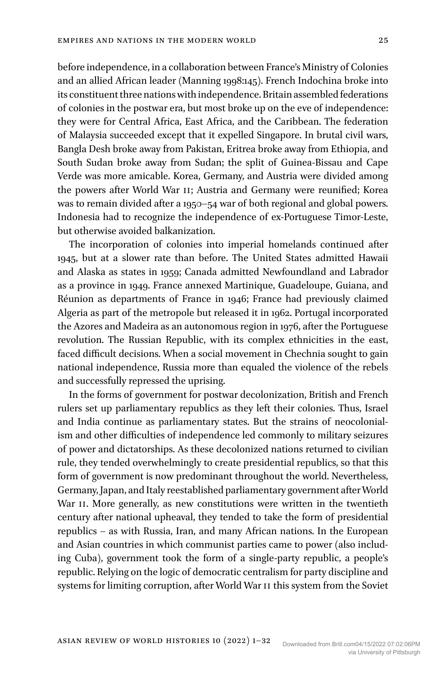before independence, in a collaboration between France's Ministry of Colonies and an allied African leader (Manning 1998:145). French Indochina broke into its constituent three nations with independence. Britain assembled federations of colonies in the postwar era, but most broke up on the eve of independence: they were for Central Africa, East Africa, and the Caribbean. The federation of Malaysia succeeded except that it expelled Singapore. In brutal civil wars, Bangla Desh broke away from Pakistan, Eritrea broke away from Ethiopia, and South Sudan broke away from Sudan; the split of Guinea-Bissau and Cape Verde was more amicable. Korea, Germany, and Austria were divided among the powers after World War II; Austria and Germany were reunified; Korea was to remain divided after a 1950–54 war of both regional and global powers. Indonesia had to recognize the independence of ex-Portuguese Timor-Leste, but otherwise avoided balkanization.

The incorporation of colonies into imperial homelands continued after 1945, but at a slower rate than before. The United States admitted Hawaii and Alaska as states in 1959; Canada admitted Newfoundland and Labrador as a province in 1949. France annexed Martinique, Guadeloupe, Guiana, and Réunion as departments of France in 1946; France had previously claimed Algeria as part of the metropole but released it in 1962. Portugal incorporated the Azores and Madeira as an autonomous region in 1976, after the Portuguese revolution. The Russian Republic, with its complex ethnicities in the east, faced difficult decisions. When a social movement in Chechnia sought to gain national independence, Russia more than equaled the violence of the rebels and successfully repressed the uprising.

In the forms of government for postwar decolonization, British and French rulers set up parliamentary republics as they left their colonies. Thus, Israel and India continue as parliamentary states. But the strains of neocolonialism and other difficulties of independence led commonly to military seizures of power and dictatorships. As these decolonized nations returned to civilian rule, they tended overwhelmingly to create presidential republics, so that this form of government is now predominant throughout the world. Nevertheless, Germany, Japan, and Italy reestablished parliamentary government after World War II. More generally, as new constitutions were written in the twentieth century after national upheaval, they tended to take the form of presidential republics – as with Russia, Iran, and many African nations. In the European and Asian countries in which communist parties came to power (also including Cuba), government took the form of a single-party republic, a people's republic. Relying on the logic of democratic centralism for party discipline and systems for limiting corruption, after World War II this system from the Soviet

Asian Review of World Histories 10 (2022) 1–32 Downloaded from Brill.com04/15/2022 07:02:06PM

via University of Pittsburgh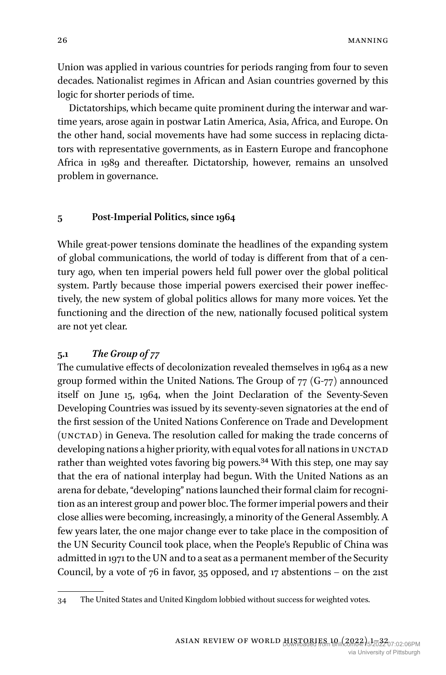Union was applied in various countries for periods ranging from four to seven decades. Nationalist regimes in African and Asian countries governed by this logic for shorter periods of time.

Dictatorships, which became quite prominent during the interwar and wartime years, arose again in postwar Latin America, Asia, Africa, and Europe. On the other hand, social movements have had some success in replacing dictators with representative governments, as in Eastern Europe and francophone Africa in 1989 and thereafter. Dictatorship, however, remains an unsolved problem in governance.

#### **5 Post-Imperial Politics, since 1964**

While great-power tensions dominate the headlines of the expanding system of global communications, the world of today is different from that of a century ago, when ten imperial powers held full power over the global political system. Partly because those imperial powers exercised their power ineffectively, the new system of global politics allows for many more voices. Yet the functioning and the direction of the new, nationally focused political system are not yet clear.

## **5.1** *The Group of 77*

The cumulative effects of decolonization revealed themselves in 1964 as a new group formed within the United Nations. The Group of 77 (G-77) announced itself on June 15, 1964, when the Joint Declaration of the Seventy-Seven Developing Countries was issued by its seventy-seven signatories at the end of the first session of the United Nations Conference on Trade and Development (UNCTAD) in Geneva. The resolution called for making the trade concerns of developing nations a higher priority, with equal votes for all nations in UNCTAD rather than weighted votes favoring big powers.34 With this step, one may say that the era of national interplay had begun. With the United Nations as an arena for debate, "developing" nations launched their formal claim for recognition as an interest group and power bloc. The former imperial powers and their close allies were becoming, increasingly, a minority of the General Assembly. A few years later, the one major change ever to take place in the composition of the UN Security Council took place, when the People's Republic of China was admitted in 1971 to the UN and to a seat as a permanent member of the Security Council, by a vote of  $76$  in favor,  $35$  opposed, and  $17$  abstentions – on the 21st

<sup>34</sup> The United States and United Kingdom lobbied without success for weighted votes.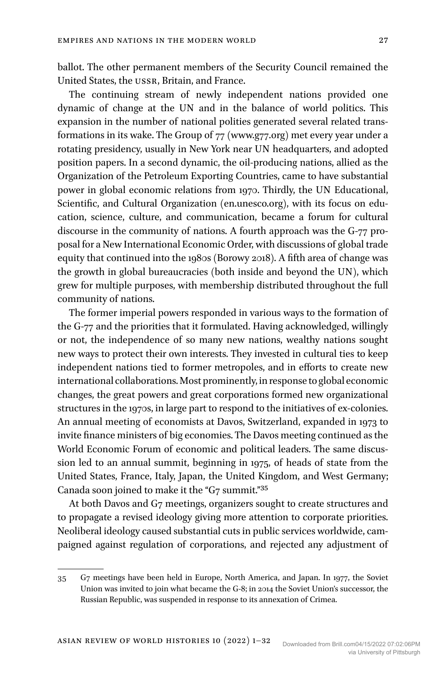ballot. The other permanent members of the Security Council remained the United States, the USSR, Britain, and France.

The continuing stream of newly independent nations provided one dynamic of change at the UN and in the balance of world politics. This expansion in the number of national polities generated several related transformations in its wake. The Group of 77 ([www.g77.org\)](http://www.g77.org) met every year under a rotating presidency, usually in New York near UN headquarters, and adopted position papers. In a second dynamic, the oil-producing nations, allied as the Organization of the Petroleum Exporting Countries, came to have substantial power in global economic relations from 1970. Thirdly, the UN Educational, Scientific, and Cultural Organization ([en.unesco.org\)](http://en.unesco.org), with its focus on education, science, culture, and communication, became a forum for cultural discourse in the community of nations. A fourth approach was the G-77 proposal for a New International Economic Order, with discussions of global trade equity that continued into the 1980s (Borowy 2018). A fifth area of change was the growth in global bureaucracies (both inside and beyond the UN), which grew for multiple purposes, with membership distributed throughout the full community of nations.

The former imperial powers responded in various ways to the formation of the G-77 and the priorities that it formulated. Having acknowledged, willingly or not, the independence of so many new nations, wealthy nations sought new ways to protect their own interests. They invested in cultural ties to keep independent nations tied to former metropoles, and in efforts to create new international collaborations. Most prominently, in response to global economic changes, the great powers and great corporations formed new organizational structures in the 1970s, in large part to respond to the initiatives of ex-colonies. An annual meeting of economists at Davos, Switzerland, expanded in 1973 to invite finance ministers of big economies. The Davos meeting continued as the World Economic Forum of economic and political leaders. The same discussion led to an annual summit, beginning in 1975, of heads of state from the United States, France, Italy, Japan, the United Kingdom, and West Germany; Canada soon joined to make it the "G7 summit."35

At both Davos and G7 meetings, organizers sought to create structures and to propagate a revised ideology giving more attention to corporate priorities. Neoliberal ideology caused substantial cuts in public services worldwide, campaigned against regulation of corporations, and rejected any adjustment of

<sup>35</sup> G7 meetings have been held in Europe, North America, and Japan. In 1977, the Soviet Union was invited to join what became the G-8; in 2014 the Soviet Union's successor, the Russian Republic, was suspended in response to its annexation of Crimea.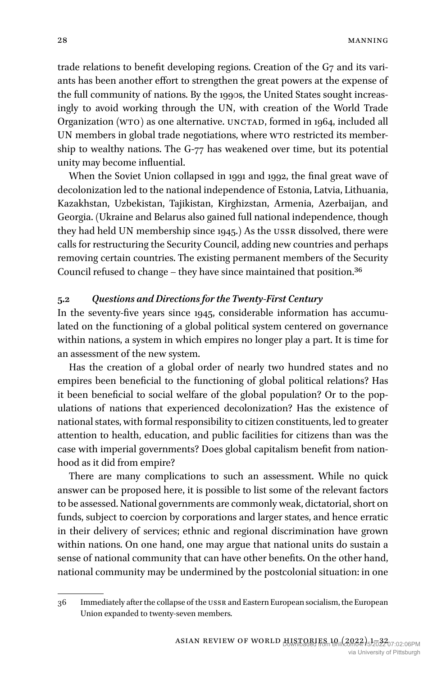trade relations to benefit developing regions. Creation of the G7 and its variants has been another effort to strengthen the great powers at the expense of the full community of nations. By the 1990s, the United States sought increasingly to avoid working through the UN, with creation of the World Trade Organization (WTO) as one alternative. UNCTAD, formed in 1964, included all UN members in global trade negotiations, where WTO restricted its membership to wealthy nations. The G-77 has weakened over time, but its potential unity may become influential.

When the Soviet Union collapsed in 1991 and 1992, the final great wave of decolonization led to the national independence of Estonia, Latvia, Lithuania, Kazakhstan, Uzbekistan, Tajikistan, Kirghizstan, Armenia, Azerbaijan, and Georgia. (Ukraine and Belarus also gained full national independence, though they had held UN membership since 1945.) As the USSR dissolved, there were calls for restructuring the Security Council, adding new countries and perhaps removing certain countries. The existing permanent members of the Security Council refused to change – they have since maintained that position.36

## **5.2** *Questions and Directions for the Twenty-First Century*

In the seventy-five years since 1945, considerable information has accumulated on the functioning of a global political system centered on governance within nations, a system in which empires no longer play a part. It is time for an assessment of the new system.

Has the creation of a global order of nearly two hundred states and no empires been beneficial to the functioning of global political relations? Has it been beneficial to social welfare of the global population? Or to the populations of nations that experienced decolonization? Has the existence of national states, with formal responsibility to citizen constituents, led to greater attention to health, education, and public facilities for citizens than was the case with imperial governments? Does global capitalism benefit from nationhood as it did from empire?

There are many complications to such an assessment. While no quick answer can be proposed here, it is possible to list some of the relevant factors to be assessed. National governments are commonly weak, dictatorial, short on funds, subject to coercion by corporations and larger states, and hence erratic in their delivery of services; ethnic and regional discrimination have grown within nations. On one hand, one may argue that national units do sustain a sense of national community that can have other benefits. On the other hand, national community may be undermined by the postcolonial situation: in one

<sup>36</sup> Immediately after the collapse of the USSR and Eastern European socialism, the European Union expanded to twenty-seven members.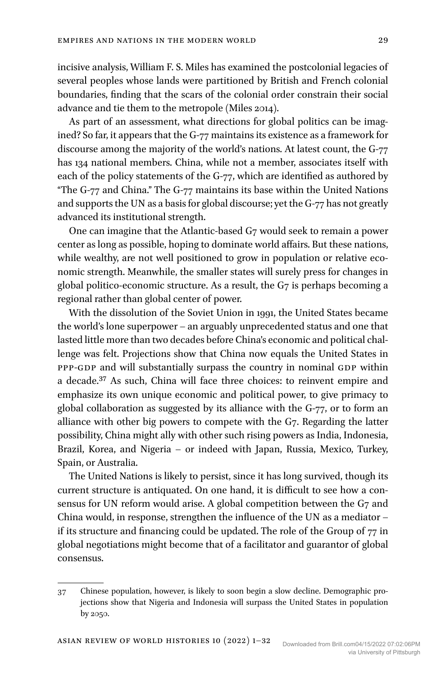incisive analysis, William F. S. Miles has examined the postcolonial legacies of several peoples whose lands were partitioned by British and French colonial boundaries, finding that the scars of the colonial order constrain their social advance and tie them to the metropole (Miles 2014).

As part of an assessment, what directions for global politics can be imagined? So far, it appears that the G-77 maintains its existence as a framework for discourse among the majority of the world's nations. At latest count, the G-77 has 134 national members. China, while not a member, associates itself with each of the policy statements of the G-77, which are identified as authored by "The G-77 and China." The G-77 maintains its base within the United Nations and supports the UN as a basis for global discourse; yet the G-77 has not greatly advanced its institutional strength.

One can imagine that the Atlantic-based G7 would seek to remain a power center as long as possible, hoping to dominate world affairs. But these nations, while wealthy, are not well positioned to grow in population or relative economic strength. Meanwhile, the smaller states will surely press for changes in global politico-economic structure. As a result, the G7 is perhaps becoming a regional rather than global center of power.

With the dissolution of the Soviet Union in 1991, the United States became the world's lone superpower – an arguably unprecedented status and one that lasted little more than two decades before China's economic and political challenge was felt. Projections show that China now equals the United States in PPP-GDP and will substantially surpass the country in nominal GDP within a decade.37 As such, China will face three choices: to reinvent empire and emphasize its own unique economic and political power, to give primacy to global collaboration as suggested by its alliance with the G-77, or to form an alliance with other big powers to compete with the G7. Regarding the latter possibility, China might ally with other such rising powers as India, Indonesia, Brazil, Korea, and Nigeria – or indeed with Japan, Russia, Mexico, Turkey, Spain, or Australia.

The United Nations is likely to persist, since it has long survived, though its current structure is antiquated. On one hand, it is difficult to see how a consensus for UN reform would arise. A global competition between the G7 and China would, in response, strengthen the influence of the UN as a mediator – if its structure and financing could be updated. The role of the Group of 77 in global negotiations might become that of a facilitator and guarantor of global consensus.

<sup>37</sup> Chinese population, however, is likely to soon begin a slow decline. Demographic projections show that Nigeria and Indonesia will surpass the United States in population by 2050.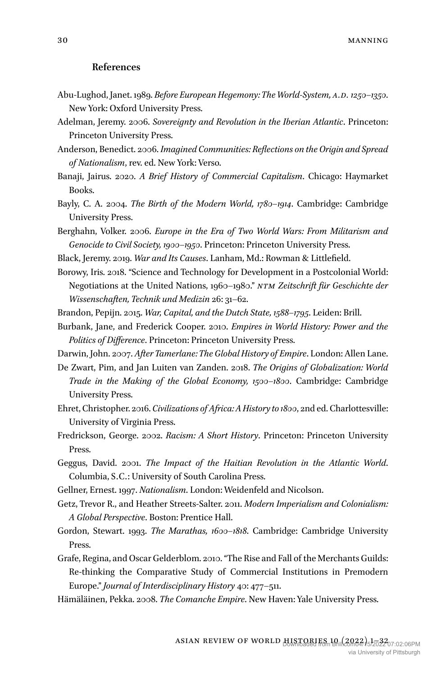#### **References**

- Abu-Lughod, Janet. 1989. *Before European Hegemony: The World-System, A.D. 1250–1350*. New York: Oxford University Press.
- Adelman, Jeremy. 2006. *Sovereignty and Revolution in the Iberian Atlantic*. Princeton: Princeton University Press.
- Anderson, Benedict. 2006. *Imagined Communities: Reflections on the Origin and Spread of Nationalism*, rev. ed. New York: Verso.
- Banaji, Jairus. 2020. *A Brief History of Commercial Capitalism*. Chicago: Haymarket Books.
- Bayly, C. A. 2004. *The Birth of the Modern World, 1780–1914*. Cambridge: Cambridge University Press.
- Berghahn, Volker. 2006. *Europe in the Era of Two World Wars: From Militarism and Genocide to Civil Society, 1900–1950*. Princeton: Princeton University Press.
- Black, Jeremy. 2019. *War and Its Causes*. Lanham, Md.: Rowman & Littlefield.
- Borowy, Iris. 2018. "Science and Technology for Development in a Postcolonial World: Negotiations at the United Nations, 1960–1980." *NTM Zeitschrift für Geschichte der Wissenschaften, Technik und Medizin* 26: 31–62.
- Brandon, Pepijn. 2015. *War, Capital, and the Dutch State, 1588–1795*. Leiden: Brill.
- Burbank, Jane, and Frederick Cooper. 2010. *Empires in World History: Power and the Politics of Difference*. Princeton: Princeton University Press.

Darwin, John. 2007. *After Tamerlane: The Global History of Empire*. London: Allen Lane.

- De Zwart, Pim, and Jan Luiten van Zanden. 2018. *The Origins of Globalization: World Trade in the Making of the Global Economy, 1500–1800*. Cambridge: Cambridge University Press.
- Ehret, Christopher. 2016. *Civilizations of Africa: A History to 1800*, 2nd ed. Charlottesville: University of Virginia Press.
- Fredrickson, George. 2002. *Racism: A Short History*. Princeton: Princeton University Press.
- Geggus, David. 2001. *The Impact of the Haitian Revolution in the Atlantic World*. Columbia, S.C.: University of South Carolina Press.
- Gellner, Ernest. 1997. *Nationalism*. London: Weidenfeld and Nicolson.
- Getz, Trevor R., and Heather Streets-Salter. 2011. *Modern Imperialism and Colonialism: A Global Perspective*. Boston: Prentice Hall.
- Gordon, Stewart. 1993. *The Marathas, 1600–1818*. Cambridge: Cambridge University Press.
- Grafe, Regina, and Oscar Gelderblom. 2010. "The Rise and Fall of the Merchants Guilds: Re-thinking the Comparative Study of Commercial Institutions in Premodern Europe." *Journal of Interdisciplinary History* 40: 477–511.
- Hämäläinen, Pekka. 2008. *The Comanche Empire*. New Haven: Yale University Press.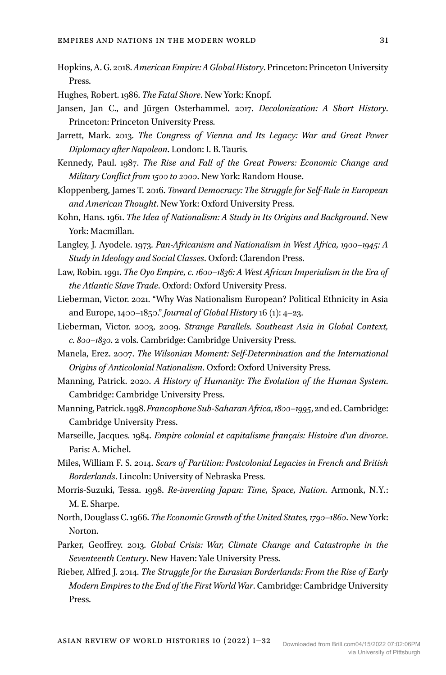- Hopkins, A. G. 2018. *American Empire: A Global History*. Princeton: Princeton University Press.
- Hughes, Robert. 1986. *The Fatal Shore*. New York: Knopf.
- Jansen, Jan C., and Jürgen Osterhammel. 2017. *Decolonization: A Short History*. Princeton: Princeton University Press.
- Jarrett, Mark. 2013. *The Congress of Vienna and Its Legacy: War and Great Power Diplomacy after Napoleon*. London: I. B. Tauris.
- Kennedy, Paul. 1987. *The Rise and Fall of the Great Powers: Economic Change and Military Conflict from 1500 to 2000*. New York: Random House.
- Kloppenberg, James T. 2016. *Toward Democracy: The Struggle for Self-Rule in European and American Thought*. New York: Oxford University Press.
- Kohn, Hans. 1961. *The Idea of Nationalism: A Study in Its Origins and Background*. New York: Macmillan.
- Langley, J. Ayodele. 1973. *Pan-Africanism and Nationalism in West Africa, 1900–1945: A Study in Ideology and Social Classes*. Oxford: Clarendon Press.
- Law, Robin. 1991. *The Oyo Empire, c. 1600–1836: A West African Imperialism in the Era of the Atlantic Slave Trade*. Oxford: Oxford University Press.
- Lieberman, Victor. 2021. "Why Was Nationalism European? Political Ethnicity in Asia and Europe, 1400–1850." *Journal of Global History* 16 (1): 4–23.
- Lieberman, Victor. 2003, 2009. *Strange Parallels. Southeast Asia in Global Context, c. 800–1830*. 2 vols. Cambridge: Cambridge University Press.
- Manela, Erez. 2007. *The Wilsonian Moment: Self-Determination and the International Origins of Anticolonial Nationalism*. Oxford: Oxford University Press.
- Manning, Patrick. 2020. *A History of Humanity: The Evolution of the Human System*. Cambridge: Cambridge University Press.
- Manning, Patrick. 1998. *Francophone Sub-Saharan Africa, 1800–1995*, 2nd ed. Cambridge: Cambridge University Press.
- Marseille, Jacques. 1984. *Empire colonial et capitalisme français: Histoire d'un divorce*. Paris: A. Michel.
- Miles, William F. S. 2014. *Scars of Partition: Postcolonial Legacies in French and British Borderlands*. Lincoln: University of Nebraska Press.
- Morris-Suzuki, Tessa. 1998. *Re-inventing Japan: Time, Space, Nation*. Armonk, N.Y.: M. E. Sharpe.
- North, Douglass C. 1966. *The Economic Growth of the United States, 1790–1860*. New York: Norton.
- Parker, Geoffrey. 2013. *Global Crisis: War, Climate Change and Catastrophe in the Seventeenth Century*. New Haven: Yale University Press.
- Rieber, Alfred J. 2014. *The Struggle for the Eurasian Borderlands: From the Rise of Early Modern Empires to the End of the First World War*. Cambridge: Cambridge University Press.